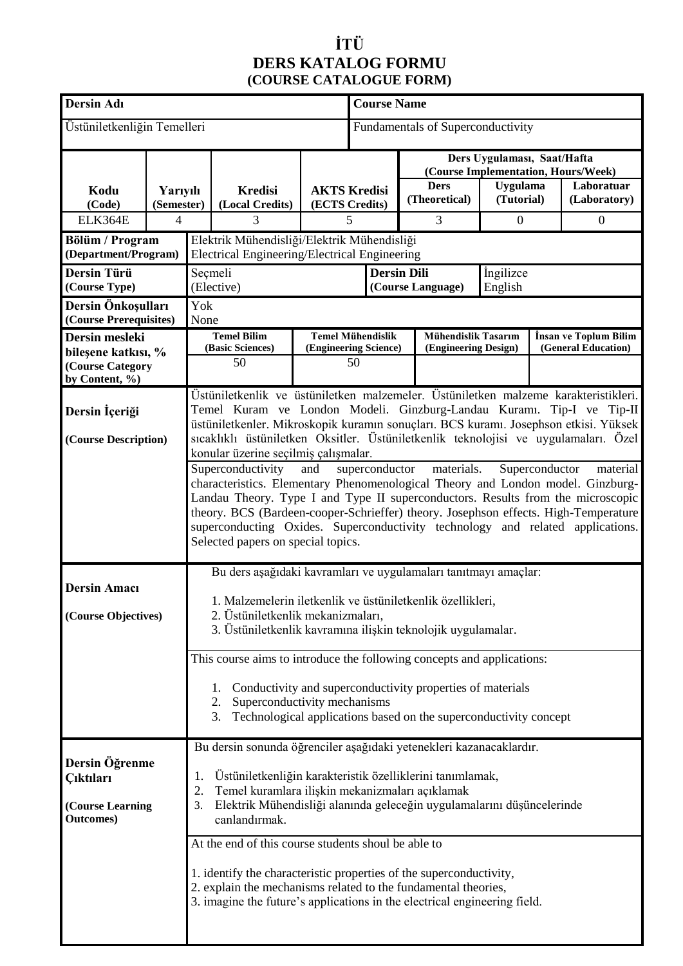### **İTÜ DERS KATALOG FORMU (COURSE CATALOGUE FORM)**

| <b>Dersin Adı</b>                            |                        |                                                                                                                                                              |                                                                                      | <b>Course Name</b>                       |                                       |                                                     |   |                               |  |                                                   |
|----------------------------------------------|------------------------|--------------------------------------------------------------------------------------------------------------------------------------------------------------|--------------------------------------------------------------------------------------|------------------------------------------|---------------------------------------|-----------------------------------------------------|---|-------------------------------|--|---------------------------------------------------|
| Üstüniletkenliğin Temelleri                  |                        |                                                                                                                                                              |                                                                                      | <b>Fundamentals of Superconductivity</b> |                                       |                                                     |   |                               |  |                                                   |
|                                              |                        |                                                                                                                                                              |                                                                                      |                                          |                                       | Ders Uygulaması, Saat/Hafta                         |   |                               |  |                                                   |
|                                              |                        |                                                                                                                                                              |                                                                                      |                                          |                                       |                                                     |   |                               |  | (Course Implementation, Hours/Week)<br>Laboratuar |
| Kodu<br>(Code)                               | Yarıyılı<br>(Semester) |                                                                                                                                                              | <b>Kredisi</b><br>(Local Credits)                                                    |                                          | <b>AKTS Kredisi</b><br>(ECTS Credits) | <b>Ders</b><br>(Theoretical)                        |   | <b>Uygulama</b><br>(Tutorial) |  | (Laboratory)                                      |
| ELK364E                                      | 4                      |                                                                                                                                                              | 3                                                                                    |                                          | 5                                     |                                                     | 3 | $\mathbf{0}$                  |  | $\boldsymbol{0}$                                  |
| Bölüm / Program                              |                        |                                                                                                                                                              |                                                                                      |                                          |                                       |                                                     |   |                               |  |                                                   |
| (Department/Program)                         |                        | Elektrik Mühendisliği/Elektrik Mühendisliği<br>Electrical Engineering/Electrical Engineering                                                                 |                                                                                      |                                          |                                       |                                                     |   |                               |  |                                                   |
| Dersin Türü                                  |                        | Seçmeli<br><b>Dersin Dili</b>                                                                                                                                |                                                                                      |                                          |                                       | <i>ingilizce</i>                                    |   |                               |  |                                                   |
| (Course Type)                                |                        | (Elective)<br>(Course Language)                                                                                                                              |                                                                                      |                                          | English                               |                                                     |   |                               |  |                                                   |
| Dersin Önkoşulları<br>(Course Prerequisites) |                        | Yok                                                                                                                                                          |                                                                                      |                                          |                                       |                                                     |   |                               |  |                                                   |
| Dersin mesleki                               |                        |                                                                                                                                                              | None<br><b>Temel Bilim</b><br><b>Temel Mühendislik</b>                               |                                          |                                       | <b>Mühendislik Tasarım</b><br>İnsan ve Toplum Bilim |   |                               |  |                                                   |
| bileşene katkısı, %                          |                        |                                                                                                                                                              | (Basic Sciences)                                                                     |                                          | (Engineering Science)                 | (Engineering Design)                                |   |                               |  | (General Education)                               |
| (Course Category                             |                        |                                                                                                                                                              | 50                                                                                   |                                          | 50                                    |                                                     |   |                               |  |                                                   |
| by Content, %)                               |                        |                                                                                                                                                              |                                                                                      |                                          |                                       |                                                     |   |                               |  |                                                   |
| Dersin İçeriği                               |                        | Üstüniletkenlik ve üstüniletken malzemeler. Üstüniletken malzeme karakteristikleri.<br>Temel Kuram ve London Modeli. Ginzburg-Landau Kuramı. Tip-I ve Tip-II |                                                                                      |                                          |                                       |                                                     |   |                               |  |                                                   |
|                                              |                        |                                                                                                                                                              | üstüniletkenler. Mikroskopik kuramın sonuçları. BCS kuramı. Josephson etkisi. Yüksek |                                          |                                       |                                                     |   |                               |  |                                                   |
| (Course Description)                         |                        | sıcaklıklı üstüniletken Oksitler. Üstüniletkenlik teknolojisi ve uygulamaları. Özel                                                                          |                                                                                      |                                          |                                       |                                                     |   |                               |  |                                                   |
|                                              |                        | konular üzerine seçilmiş çalışmalar.<br>materials.<br>Superconductivity<br>superconductor<br>and<br>Superconductor<br>material                               |                                                                                      |                                          |                                       |                                                     |   |                               |  |                                                   |
|                                              |                        | characteristics. Elementary Phenomenological Theory and London model. Ginzburg-                                                                              |                                                                                      |                                          |                                       |                                                     |   |                               |  |                                                   |
|                                              |                        | Landau Theory. Type I and Type II superconductors. Results from the microscopic                                                                              |                                                                                      |                                          |                                       |                                                     |   |                               |  |                                                   |
|                                              |                        | theory. BCS (Bardeen-cooper-Schrieffer) theory. Josephson effects. High-Temperature                                                                          |                                                                                      |                                          |                                       |                                                     |   |                               |  |                                                   |
|                                              |                        | superconducting Oxides. Superconductivity technology and related applications.<br>Selected papers on special topics.                                         |                                                                                      |                                          |                                       |                                                     |   |                               |  |                                                   |
|                                              |                        |                                                                                                                                                              |                                                                                      |                                          |                                       |                                                     |   |                               |  |                                                   |
|                                              |                        | Bu ders aşağıdaki kavramları ve uygulamaları tanıtmayı amaçlar:                                                                                              |                                                                                      |                                          |                                       |                                                     |   |                               |  |                                                   |
| <b>Dersin Amacı</b>                          |                        | 1. Malzemelerin iletkenlik ve üstüniletkenlik özellikleri,                                                                                                   |                                                                                      |                                          |                                       |                                                     |   |                               |  |                                                   |
| (Course Objectives)                          |                        | 2. Üstüniletkenlik mekanizmaları,                                                                                                                            |                                                                                      |                                          |                                       |                                                     |   |                               |  |                                                   |
|                                              |                        | 3. Üstüniletkenlik kavramına ilişkin teknolojik uygulamalar.                                                                                                 |                                                                                      |                                          |                                       |                                                     |   |                               |  |                                                   |
|                                              |                        | This course aims to introduce the following concepts and applications:                                                                                       |                                                                                      |                                          |                                       |                                                     |   |                               |  |                                                   |
|                                              |                        |                                                                                                                                                              |                                                                                      |                                          |                                       |                                                     |   |                               |  |                                                   |
|                                              |                        | Conductivity and superconductivity properties of materials<br>1.                                                                                             |                                                                                      |                                          |                                       |                                                     |   |                               |  |                                                   |
|                                              |                        | Superconductivity mechanisms<br>2.<br>Technological applications based on the superconductivity concept<br>3.                                                |                                                                                      |                                          |                                       |                                                     |   |                               |  |                                                   |
|                                              |                        |                                                                                                                                                              |                                                                                      |                                          |                                       |                                                     |   |                               |  |                                                   |
| Dersin Öğrenme<br><b>Ciktilari</b>           |                        | Bu dersin sonunda öğrenciler aşağıdaki yetenekleri kazanacaklardır.                                                                                          |                                                                                      |                                          |                                       |                                                     |   |                               |  |                                                   |
|                                              |                        |                                                                                                                                                              |                                                                                      |                                          |                                       |                                                     |   |                               |  |                                                   |
|                                              |                        | Üstüniletkenliğin karakteristik özelliklerini tanımlamak,<br>1.<br>Temel kuramlara ilişkin mekanizmaları açıklamak<br>2.                                     |                                                                                      |                                          |                                       |                                                     |   |                               |  |                                                   |
| (Course Learning                             |                        | Elektrik Mühendisliği alanında geleceğin uygulamalarını düşüncelerinde<br>3.                                                                                 |                                                                                      |                                          |                                       |                                                     |   |                               |  |                                                   |
| <b>Outcomes</b> )                            |                        | canlandırmak.                                                                                                                                                |                                                                                      |                                          |                                       |                                                     |   |                               |  |                                                   |
|                                              |                        | At the end of this course students shoul be able to                                                                                                          |                                                                                      |                                          |                                       |                                                     |   |                               |  |                                                   |
|                                              |                        |                                                                                                                                                              |                                                                                      |                                          |                                       |                                                     |   |                               |  |                                                   |
|                                              |                        | 1. identify the characteristic properties of the superconductivity,<br>2. explain the mechanisms related to the fundamental theories,                        |                                                                                      |                                          |                                       |                                                     |   |                               |  |                                                   |
|                                              |                        | 3. imagine the future's applications in the electrical engineering field.                                                                                    |                                                                                      |                                          |                                       |                                                     |   |                               |  |                                                   |
|                                              |                        |                                                                                                                                                              |                                                                                      |                                          |                                       |                                                     |   |                               |  |                                                   |
|                                              |                        |                                                                                                                                                              |                                                                                      |                                          |                                       |                                                     |   |                               |  |                                                   |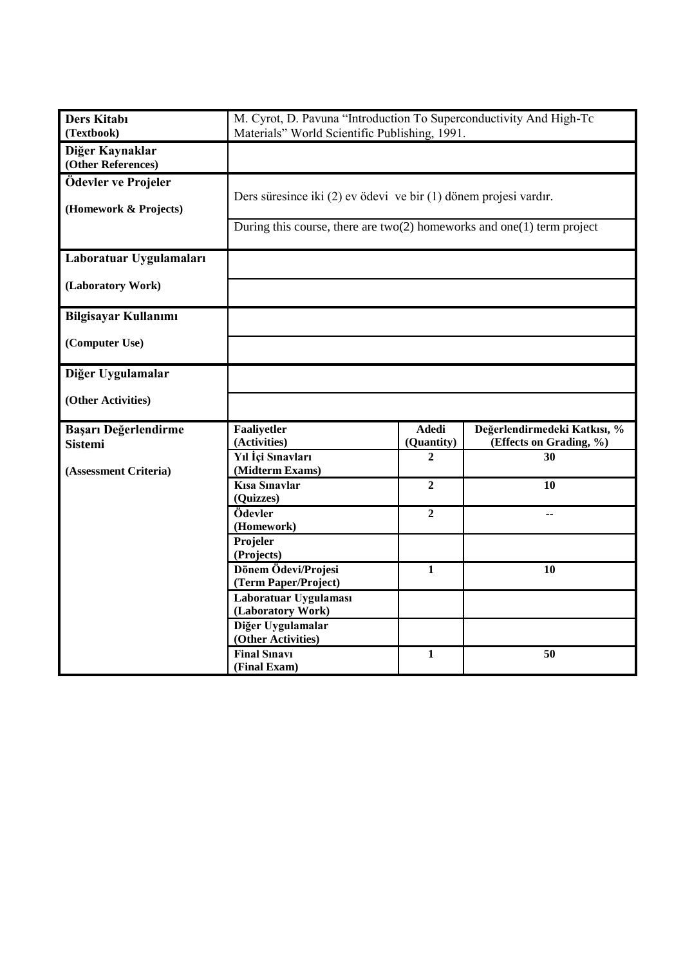| <b>Ders Kitabı</b><br>(Textbook)             | M. Cyrot, D. Pavuna "Introduction To Superconductivity And High-Tc<br>Materials" World Scientific Publishing, 1991.                          |                            |                                                         |  |  |
|----------------------------------------------|----------------------------------------------------------------------------------------------------------------------------------------------|----------------------------|---------------------------------------------------------|--|--|
| Diğer Kaynaklar<br>(Other References)        |                                                                                                                                              |                            |                                                         |  |  |
| Ödevler ve Projeler<br>(Homework & Projects) | Ders süresince iki (2) ev ödevi ve bir (1) dönem projesi vardır.<br>During this course, there are $two(2)$ homeworks and one(1) term project |                            |                                                         |  |  |
| Laboratuar Uygulamaları                      |                                                                                                                                              |                            |                                                         |  |  |
| (Laboratory Work)                            |                                                                                                                                              |                            |                                                         |  |  |
| <b>Bilgisayar Kullanımı</b>                  |                                                                                                                                              |                            |                                                         |  |  |
| (Computer Use)                               |                                                                                                                                              |                            |                                                         |  |  |
| Diğer Uygulamalar                            |                                                                                                                                              |                            |                                                         |  |  |
| (Other Activities)                           |                                                                                                                                              |                            |                                                         |  |  |
| Başarı Değerlendirme<br><b>Sistemi</b>       | Faaliyetler<br>(Activities)                                                                                                                  | <b>Adedi</b><br>(Quantity) | Değerlendirmedeki Katkısı, %<br>(Effects on Grading, %) |  |  |
| (Assessment Criteria)                        | Yıl İçi Sınavları<br>(Midterm Exams)                                                                                                         | $\mathbf{2}$               | 30                                                      |  |  |
|                                              | Kisa Sinavlar<br>(Quizzes)                                                                                                                   | $\overline{2}$             | 10                                                      |  |  |
|                                              | Ödevler<br>(Homework)                                                                                                                        | $\overline{2}$             | --                                                      |  |  |
|                                              | Projeler<br>(Projects)                                                                                                                       |                            |                                                         |  |  |
|                                              | Dönem Ödevi/Projesi<br>(Term Paper/Project)                                                                                                  | $\mathbf{1}$               | 10                                                      |  |  |
|                                              | Laboratuar Uygulaması<br>(Laboratory Work)                                                                                                   |                            |                                                         |  |  |
|                                              | Diğer Uygulamalar<br>(Other Activities)                                                                                                      |                            |                                                         |  |  |
|                                              | <b>Final Sinavi</b><br>(Final Exam)                                                                                                          | $\mathbf{1}$               | 50                                                      |  |  |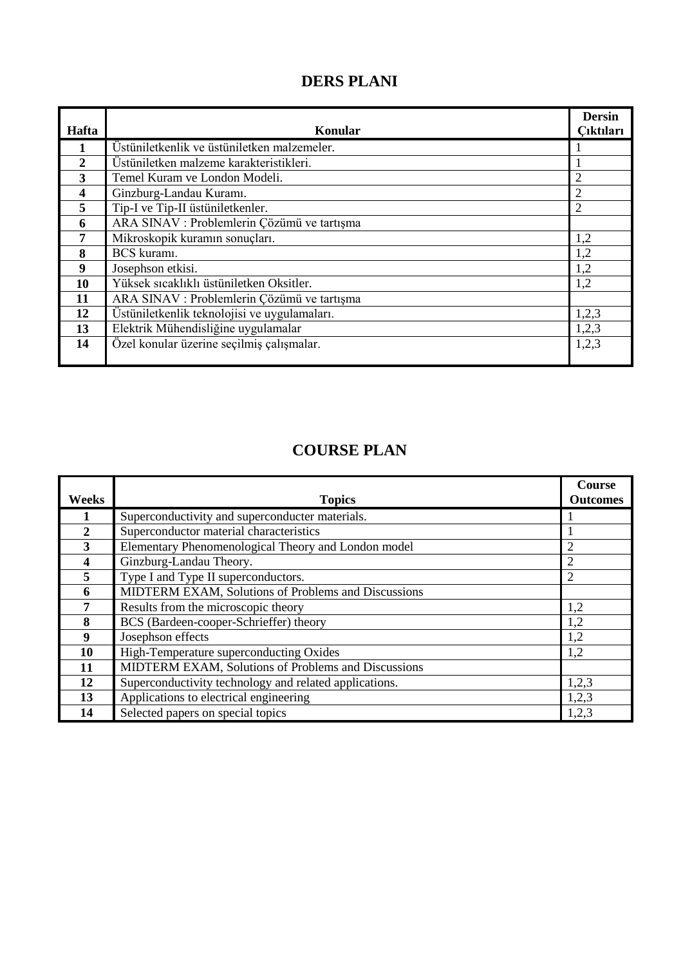## **DERS PLANI**

| Hafta | Konular                                      | <b>Dersin</b><br>Cıktıları |
|-------|----------------------------------------------|----------------------------|
|       |                                              |                            |
|       | Üstüniletkenlik ve üstüniletken malzemeler.  |                            |
| 2     | Üstüniletken malzeme karakteristikleri.      |                            |
| 3     | Temel Kuram ve London Modeli.                | $\overline{2}$             |
| 4     | Ginzburg-Landau Kuramı.                      | $\overline{2}$             |
| 5     | Tip-I ve Tip-II üstüniletkenler.             | $\overline{2}$             |
| 6     | ARA SINAV : Problemlerin Çözümü ve tartışma  |                            |
| 7     | Mikroskopik kuramın sonuçları.               | 1,2                        |
| 8     | BCS kuramı.                                  | 1,2                        |
| 9     | Josephson etkisi.                            | 1,2                        |
| 10    | Yüksek sıcaklıklı üstüniletken Oksitler.     | 1,2                        |
| 11    | ARA SINAV : Problemlerin Çözümü ve tartışma  |                            |
| 12    | Üstüniletkenlik teknolojisi ve uygulamaları. | 1,2,3                      |
| 13    | Elektrik Mühendisliğine uygulamalar          | 1,2,3                      |
| 14    | Özel konular üzerine seçilmiş çalışmalar.    | 1,2,3                      |
|       |                                              |                            |

# **COURSE PLAN**

|                |                                                                       | <b>Course</b>   |  |  |  |
|----------------|-----------------------------------------------------------------------|-----------------|--|--|--|
| <b>Weeks</b>   | <b>Topics</b>                                                         | <b>Outcomes</b> |  |  |  |
|                | Superconductivity and superconducter materials.                       |                 |  |  |  |
| $\overline{2}$ | Superconductor material characteristics                               |                 |  |  |  |
| 3              | Elementary Phenomenological Theory and London model<br>$\overline{2}$ |                 |  |  |  |
| 4              | Ginzburg-Landau Theory.                                               | $\overline{2}$  |  |  |  |
| $\overline{5}$ | Type I and Type II superconductors.                                   | 2               |  |  |  |
| 6              | MIDTERM EXAM, Solutions of Problems and Discussions                   |                 |  |  |  |
| 7              | Results from the microscopic theory                                   | 1,2             |  |  |  |
| 8              | BCS (Bardeen-cooper-Schrieffer) theory                                | 1,2             |  |  |  |
| 9              | Josephson effects                                                     | 1,2             |  |  |  |
| 10             | High-Temperature superconducting Oxides                               | 1,2             |  |  |  |
| 11             | MIDTERM EXAM, Solutions of Problems and Discussions                   |                 |  |  |  |
| 12             | Superconductivity technology and related applications.                | 1,2,3           |  |  |  |
| 13             | Applications to electrical engineering                                | 1,2,3           |  |  |  |
| 14             | Selected papers on special topics                                     | 1,2,3           |  |  |  |